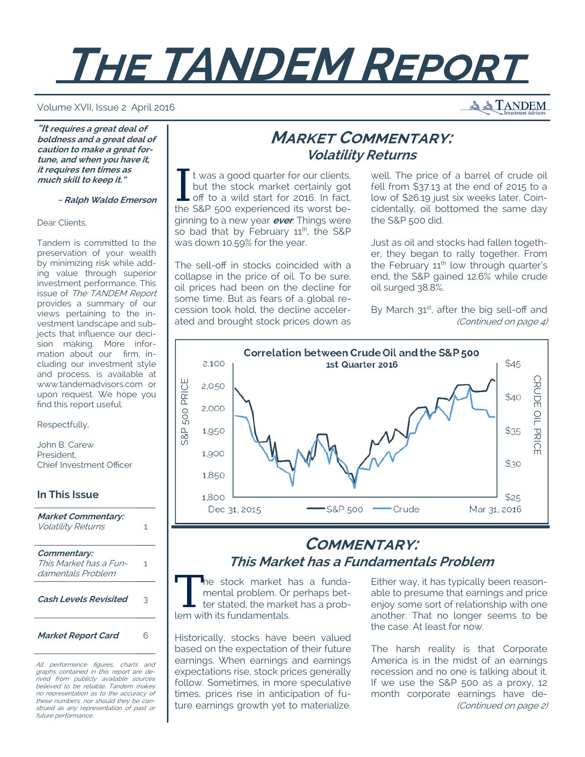# **THE TANDEM REPORT**

#### Volume XVII, Issue 2 April 2016

**"It requires a great deal of boldness and a great deal of caution to make a great fortune, and when you have it, it requires ten times as much skill to keep it."** 

 **~ Ralph Waldo Emerson**

Dear Clients,

Tandem is committed to the preservation of your wealth by minimizing risk while adding value through superior investment performance. This issue of The TANDEM Report provides a summary of our views pertaining to the investment landscape and subjects that influence our decision making. More information about our firm, including our investment style and process, is available at www.tandemadvisors.com or upon request. We hope you find this report useful.

Respectfully,

John B. Carew President, Chief Investment Officer

**In This Issue Market Commentary:**  Volatility Returns 1 **Commentary:**  This Market has a Fundamentals Problem 1 **Cash Levels Revisited** 3

**Market Report Card** 6

All performance figures, charts and graphs contained in this report are derived from publicly available sources believed to be reliable. Tandem makes no representation as to the accuracy of these numbers, nor should they be construed as any representation of past or future performance.

# **MARKET COMMENTARY: Volatility Returns**

I t was a good quarter for our clients,<br>
but the stock market certainly got<br>
off to a wild start for 2016. In fact,<br>
the S&D 500 experienced its worst be but the stock market certainly got the S&P 500 experienced its worst beginning to a new year **ever**. Things were so bad that by February 11<sup>th</sup>, the S&P was down 10.59% for the year.

The sell-off in stocks coincided with a collapse in the price of oil. To be sure, oil prices had been on the decline for some time. But as fears of a global recession took hold, the decline accelerated and brought stock prices down as well. The price of a barrel of crude oil fell from \$37.13 at the end of 2015 to a low of \$26.19 just six weeks later. Coincidentally, oil bottomed the same day the S&P 500 did.

Just as oil and stocks had fallen together, they began to rally together. From the February  $11<sup>th</sup>$  low through quarter's end, the S&P gained 12.6% while crude oil surged 38.8%.

By March 31st, after the big sell-off and (Continued on page 4)



# **COMMENTARY: This Market has a Fundamentals Problem**

The stock market has a funda-<br>
mental problem. Or perhaps bet-<br>
ter stated, the market has a prob-<br>
lom with its fundamentals mental problem. Or perhaps betlem with its fundamentals.

Historically, stocks have been valued based on the expectation of their future earnings. When earnings and earnings expectations rise, stock prices generally follow. Sometimes, in more speculative times, prices rise in anticipation of future earnings growth yet to materialize.

Either way, it has typically been reasonable to presume that earnings and price enjoy some sort of relationship with one another. That no longer seems to be the case. At least for now.

The harsh reality is that Corporate America is in the midst of an earnings recession and no one is talking about it. If we use the S&P 500 as a proxy, 12 month corporate earnings have de- (Continued on page 2)

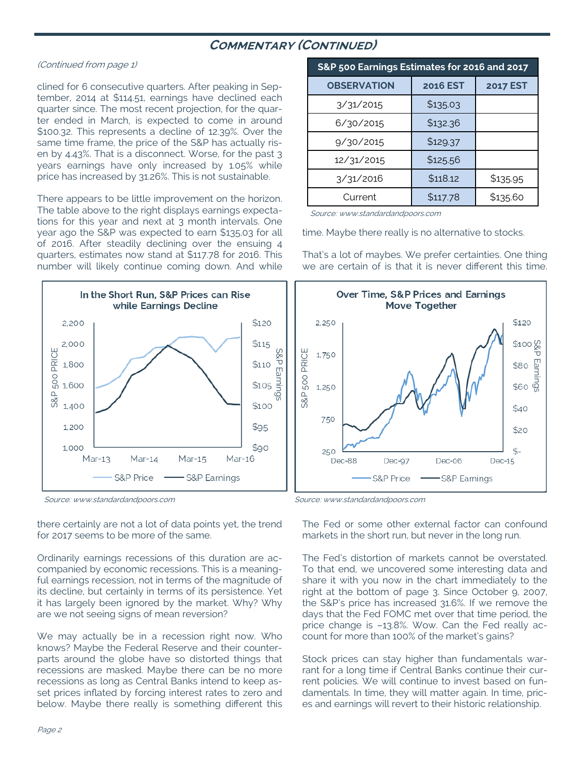## **COMMENTARY (CONTINUED)**

### (Continued from page 1)

clined for 6 consecutive quarters. After peaking in September, 2014 at \$114.51, earnings have declined each quarter since. The most recent projection, for the quarter ended in March, is expected to come in around \$100.32. This represents a decline of 12.39%. Over the same time frame, the price of the S&P has actually risen by 4.43%. That is a disconnect. Worse, for the past 3 years earnings have only increased by 1.05% while price has increased by 31.26%. This is not sustainable.

There appears to be little improvement on the horizon. The table above to the right displays earnings expectations for this year and next at 3 month intervals. One year ago the S&P was expected to earn \$135.03 for all of 2016. After steadily declining over the ensuing 4 quarters, estimates now stand at \$117.78 for 2016. This number will likely continue coming down. And while



there certainly are not a lot of data points yet, the trend for 2017 seems to be more of the same.

Ordinarily earnings recessions of this duration are accompanied by economic recessions. This is a meaningful earnings recession, not in terms of the magnitude of its decline, but certainly in terms of its persistence. Yet it has largely been ignored by the market. Why? Why are we not seeing signs of mean reversion?

We may actually be in a recession right now. Who knows? Maybe the Federal Reserve and their counterparts around the globe have so distorted things that recessions are masked. Maybe there can be no more recessions as long as Central Banks intend to keep asset prices inflated by forcing interest rates to zero and below. Maybe there really is something different this

| S&P 500 Earnings Estimates for 2016 and 2017 |                 |                 |  |  |
|----------------------------------------------|-----------------|-----------------|--|--|
| <b>OBSERVATION</b>                           | <b>2016 EST</b> | <b>2017 EST</b> |  |  |
| 3/31/2015                                    | \$135.03        |                 |  |  |
| 6/30/2015                                    | \$132.36        |                 |  |  |
| 9/30/2015                                    | \$129.37        |                 |  |  |
| 12/31/2015                                   | \$125.56        |                 |  |  |
| 3/31/2016                                    | \$118.12        | \$135.95        |  |  |
| Current                                      | \$117.78        | \$135.60        |  |  |

Source: www.standardandpoors.com

time. Maybe there really is no alternative to stocks.

That's a lot of maybes. We prefer certainties. One thing we are certain of is that it is never different this time.



Source: www.standardandpoors.com Source: www.standardandpoors.com

The Fed or some other external factor can confound markets in the short run, but never in the long run.

The Fed's distortion of markets cannot be overstated. To that end, we uncovered some interesting data and share it with you now in the chart immediately to the right at the bottom of page 3. Since October 9, 2007, the S&P's price has increased 31.6%. If we remove the days that the Fed FOMC met over that time period, the price change is –13.8%. Wow. Can the Fed really account for more than 100% of the market's gains?

Stock prices can stay higher than fundamentals warrant for a long time if Central Banks continue their current policies. We will continue to invest based on fundamentals. In time, they will matter again. In time, prices and earnings will revert to their historic relationship.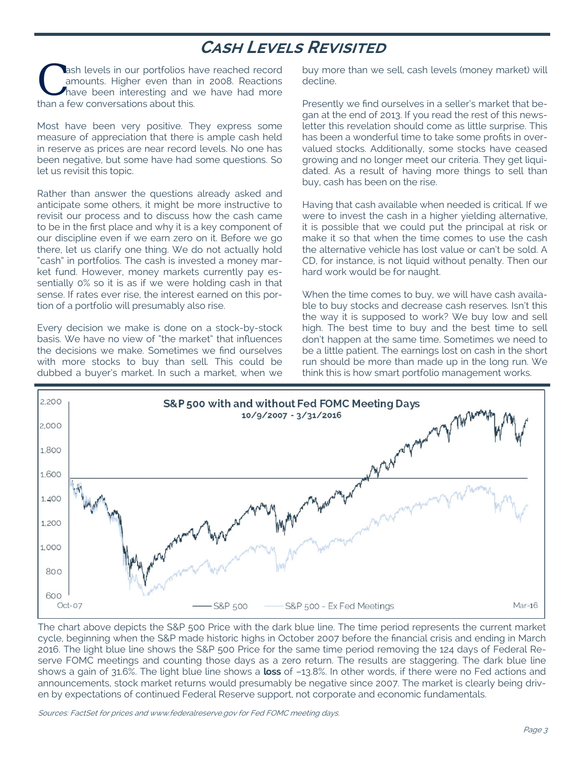# **CASH LEVELS REVISITED**

**C** ash levels in our portfolios have reached record amounts. Higher even than in 2008. Reactions have been interesting and we have had more than a form compromising about this amounts. Higher even than in 2008. Reactions than a few conversations about this.

Most have been very positive. They express some measure of appreciation that there is ample cash held in reserve as prices are near record levels. No one has been negative, but some have had some questions. So let us revisit this topic.

Rather than answer the questions already asked and anticipate some others, it might be more instructive to revisit our process and to discuss how the cash came to be in the first place and why it is a key component of our discipline even if we earn zero on it. Before we go there, let us clarify one thing. We do not actually hold "cash" in portfolios. The cash is invested a money market fund. However, money markets currently pay essentially 0% so it is as if we were holding cash in that sense. If rates ever rise, the interest earned on this portion of a portfolio will presumably also rise.

Every decision we make is done on a stock-by-stock basis. We have no view of "the market" that influences the decisions we make. Sometimes we find ourselves with more stocks to buy than sell. This could be dubbed a buyer's market. In such a market, when we

buy more than we sell, cash levels (money market) will decline.

Presently we find ourselves in a seller's market that began at the end of 2013. If you read the rest of this newsletter this revelation should come as little surprise. This has been a wonderful time to take some profits in overvalued stocks. Additionally, some stocks have ceased growing and no longer meet our criteria. They get liquidated. As a result of having more things to sell than buy, cash has been on the rise.

Having that cash available when needed is critical. If we were to invest the cash in a higher yielding alternative, it is possible that we could put the principal at risk or make it so that when the time comes to use the cash the alternative vehicle has lost value or can't be sold. A CD, for instance, is not liquid without penalty. Then our hard work would be for naught.

When the time comes to buy, we will have cash available to buy stocks and decrease cash reserves. Isn't this the way it is supposed to work? We buy low and sell high. The best time to buy and the best time to sell don't happen at the same time. Sometimes we need to be a little patient. The earnings lost on cash in the short run should be more than made up in the long run. We think this is how smart portfolio management works.



The chart above depicts the S&P 500 Price with the dark blue line. The time period represents the current market cycle, beginning when the S&P made historic highs in October 2007 before the financial crisis and ending in March 2016. The light blue line shows the S&P 500 Price for the same time period removing the 124 days of Federal Reserve FOMC meetings and counting those days as a zero return. The results are staggering. The dark blue line shows a gain of 31.6%. The light blue line shows a **loss** of –13.8%. In other words, if there were no Fed actions and announcements, stock market returns would presumably be negative since 2007. The market is clearly being driven by expectations of continued Federal Reserve support, not corporate and economic fundamentals.

Sources: FactSet for prices and www.federalreserve.gov for Fed FOMC meeting days.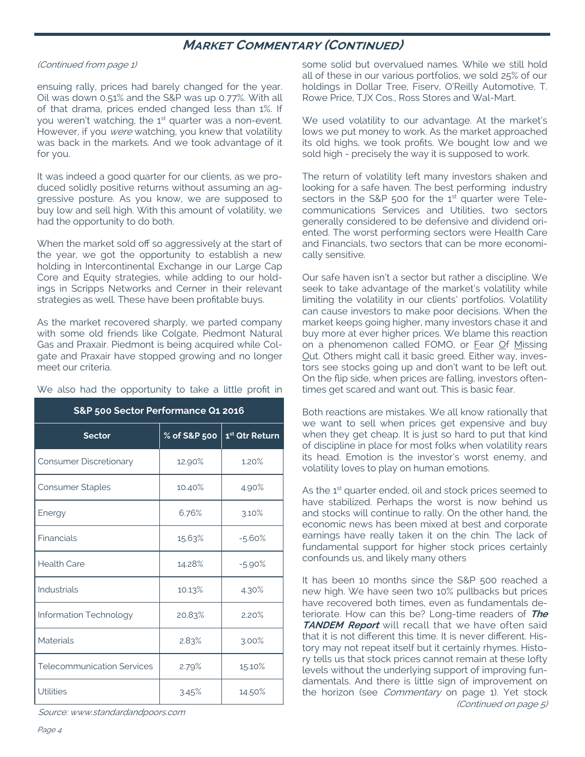# **MARKET COMMENTARY (CONTINUED)**

### (Continued from page 1)

ensuing rally, prices had barely changed for the year. Oil was down 0.51% and the S&P was up 0.77%. With all of that drama, prices ended changed less than 1%. If you weren't watching, the 1<sup>st</sup> quarter was a non-event. However, if you were watching, you knew that volatility was back in the markets. And we took advantage of it for you.

It was indeed a good quarter for our clients, as we produced solidly positive returns without assuming an aggressive posture. As you know, we are supposed to buy low and sell high. With this amount of volatility, we had the opportunity to do both.

When the market sold off so aggressively at the start of the year, we got the opportunity to establish a new holding in Intercontinental Exchange in our Large Cap Core and Equity strategies, while adding to our holdings in Scripps Networks and Cerner in their relevant strategies as well. These have been profitable buys.

As the market recovered sharply, we parted company with some old friends like Colgate, Piedmont Natural Gas and Praxair. Piedmont is being acquired while Colgate and Praxair have stopped growing and no longer meet our criteria.

| S&P 500 Sector Performance Q1 2016 |              |                            |  |  |
|------------------------------------|--------------|----------------------------|--|--|
| <b>Sector</b>                      | % of S&P 500 | 1 <sup>st</sup> Qtr Return |  |  |
| <b>Consumer Discretionary</b>      | 12.90%       | 1.20%                      |  |  |
| <b>Consumer Staples</b>            | 10.40%       | 4.90%                      |  |  |
| Energy                             | 6.76%        | 3.10%                      |  |  |
| Financials                         | 15.63%       | $-5.60%$                   |  |  |
| <b>Health Care</b>                 | 14.28%       | $-5.90\%$                  |  |  |
| Industrials                        | 10.13%       | 4.30%                      |  |  |
| Information Technology             | 20.83%       | 2.20%                      |  |  |
| <b>Materials</b>                   | 2.83%        | $3.00\%$                   |  |  |
| <b>Telecommunication Services</b>  | 2.79%        | 15.10%                     |  |  |
| <b>Utilities</b>                   | 3.45%        | 14.50%                     |  |  |

We also had the opportunity to take a little profit in

Source: www.standardandpoors.com

some solid but overvalued names. While we still hold all of these in our various portfolios, we sold 25% of our holdings in Dollar Tree, Fiserv, O'Reilly Automotive, T. Rowe Price, TJX Cos., Ross Stores and Wal-Mart.

We used volatility to our advantage. At the market's lows we put money to work. As the market approached its old highs, we took profits. We bought low and we sold high - precisely the way it is supposed to work.

The return of volatility left many investors shaken and looking for a safe haven. The best performing industry sectors in the S&P 500 for the  $1<sup>st</sup>$  quarter were Telecommunications Services and Utilities, two sectors generally considered to be defensive and dividend oriented. The worst performing sectors were Health Care and Financials, two sectors that can be more economically sensitive.

Our safe haven isn't a sector but rather a discipline. We seek to take advantage of the market's volatility while limiting the volatility in our clients' portfolios. Volatility can cause investors to make poor decisions. When the market keeps going higher, many investors chase it and buy more at ever higher prices. We blame this reaction on a phenomenon called FOMO, or Fear Of Missing Out. Others might call it basic greed. Either way, investors see stocks going up and don't want to be left out. On the flip side, when prices are falling, investors oftentimes get scared and want out. This is basic fear.

Both reactions are mistakes. We all know rationally that we want to sell when prices get expensive and buy when they get cheap. It is just so hard to put that kind of discipline in place for most folks when volatility rears its head. Emotion is the investor's worst enemy, and volatility loves to play on human emotions.

As the 1<sup>st</sup> quarter ended, oil and stock prices seemed to have stabilized. Perhaps the worst is now behind us and stocks will continue to rally. On the other hand, the economic news has been mixed at best and corporate earnings have really taken it on the chin. The lack of fundamental support for higher stock prices certainly confounds us, and likely many others

It has been 10 months since the S&P 500 reached a new high. We have seen two 10% pullbacks but prices have recovered both times, even as fundamentals deteriorate. How can this be? Long-time readers of **The TANDEM Report** will recall that we have often said that it is not different this time. It is never different. History may not repeat itself but it certainly rhymes. History tells us that stock prices cannot remain at these lofty levels without the underlying support of improving fundamentals. And there is little sign of improvement on the horizon (see *Commentary* on page 1). Yet stock (Continued on page 5)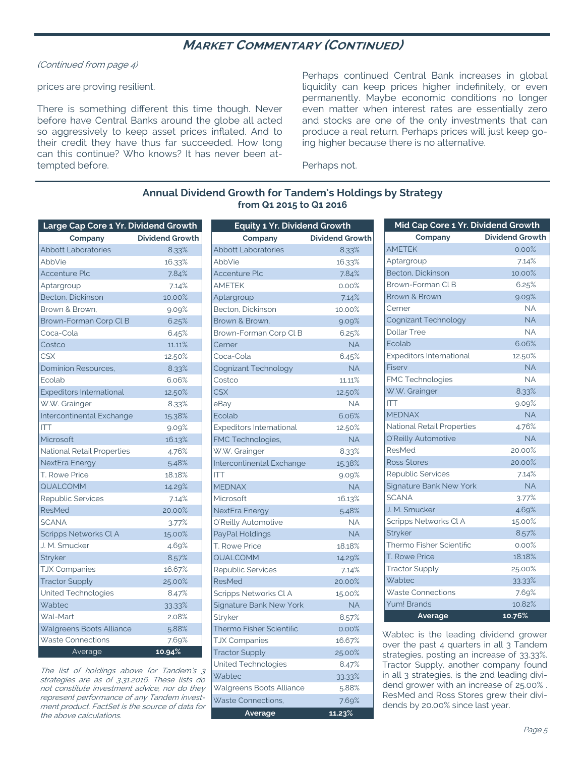## **MARKET COMMENTARY (CONTINUED)**

(Continued from page 4)

### prices are proving resilient.

There is something different this time though. Never before have Central Banks around the globe all acted so aggressively to keep asset prices inflated. And to their credit they have thus far succeeded. How long can this continue? Who knows? It has never been attempted before.

Perhaps continued Central Bank increases in global liquidity can keep prices higher indefinitely, or even permanently. Maybe economic conditions no longer even matter when interest rates are essentially zero and stocks are one of the only investments that can produce a real return. Perhaps prices will just keep going higher because there is no alternative.

Perhaps not.

## **Annual Dividend Growth for Tandem's Holdings by Strategy from Q1 2015 to Q1 2016**

| Large Cap Core 1 Yr. Dividend Growth |                        |
|--------------------------------------|------------------------|
| Company                              | <b>Dividend Growth</b> |
| <b>Abbott Laboratories</b>           | 8.33%                  |
| AbbVie                               | 16.33%                 |
| <b>Accenture Plc</b>                 | 7.84%                  |
| Aptargroup                           | 7.14%                  |
| Becton, Dickinson                    | 10.00%                 |
| Brown & Brown.                       | 9.09%                  |
| Brown-Forman Corp CLB                | 6.25%                  |
| Coca-Cola                            | 6.45%                  |
| Costco                               | 11.11%                 |
| <b>CSX</b>                           | 12.50%                 |
| <b>Dominion Resources,</b>           | 8.33%                  |
| Ecolab                               | 6.06%                  |
| <b>Expeditors International</b>      | 12.50%                 |
| W.W. Grainger                        | 8.33%                  |
| Intercontinental Exchange            | 15.38%                 |
| <b>ITT</b>                           | 9.09%                  |
| Microsoft                            | 16.13%                 |
| National Retail Properties           | 4.76%                  |
| NextEra Energy                       | 5.48%                  |
| T. Rowe Price                        | 18.18%                 |
| QUALCOMM                             | 14.29%                 |
| <b>Republic Services</b>             | 7.14%                  |
| <b>ResMed</b>                        | 20.00%                 |
| <b>SCANA</b>                         | 3.77%                  |
| <b>Scripps Networks CLA</b>          | 15.00%                 |
| J. M. Smucker                        | 4.69%                  |
| Stryker                              | 8.57%                  |
| <b>TJX Companies</b>                 | 16.67%                 |
| <b>Tractor Supply</b>                | 25.00%                 |
| United Technologies                  | 8.47%                  |
| Wabtec                               | 33.33%                 |
| Wal-Mart                             | 2.08%                  |
| Walgreens Boots Alliance             | 5.88%                  |
| <b>Waste Connections</b>             | 7.69%                  |
| Average                              | 10.94%                 |

The list of holdings above for Tandem's 3 strategies are as of 3.31.2016. These lists do not constitute investment advice, nor do they represent performance of any Tandem investment product. FactSet is the source of data for the above calculations.

| <b>Equity 1 Yr. Dividend Growth</b> |                        |
|-------------------------------------|------------------------|
| Company                             | <b>Dividend Growth</b> |
| <b>Abbott Laboratories</b>          | 8.33%                  |
| AbbVie                              | 16.33%                 |
| <b>Accenture Plc</b>                | 7.84%                  |
| <b>AMETEK</b>                       | $0.00\%$               |
| Aptargroup                          | 7.14%                  |
| Becton, Dickinson                   | 10.00%                 |
| Brown & Brown.                      | 9.09%                  |
| Brown-Forman Corp Cl B              | 6.25%                  |
| Cerner                              | <b>NA</b>              |
| Coca-Cola                           | 6.45%                  |
| Cognizant Technology                | <b>NA</b>              |
| Costco                              | 11.11%                 |
| <b>CSX</b>                          | 12.50%                 |
| eBay                                | <b>NA</b>              |
| Ecolab                              | 6.06%                  |
| <b>Expeditors International</b>     | 12.50%                 |
| FMC Technologies,                   | <b>NA</b>              |
| W.W. Grainger                       | 8.33%                  |
| Intercontinental Exchange           | 15.38%                 |
| <b>ITT</b>                          | 9.09%                  |
| <b>MEDNAX</b>                       | <b>NA</b>              |
| Microsoft                           | 16.13%                 |
| <b>NextEra Energy</b>               | 5.48%                  |
| O'Reilly Automotive                 | <b>NA</b>              |
| PayPal Holdings                     | <b>NA</b>              |
| T. Rowe Price                       | 18.18%                 |
| QUALCOMM                            | 14.29%                 |
| Republic Services                   | 7.14%                  |
| <b>ResMed</b>                       | 20.00%                 |
| Scripps Networks CLA                | 15.00%                 |
| <b>Signature Bank New York</b>      | <b>NA</b>              |
| Stryker                             | 8.57%                  |
| <b>Thermo Fisher Scientific</b>     | 0.00%                  |
| <b>TJX Companies</b>                | 16.67%                 |
| <b>Tractor Supply</b>               | 25.00%                 |
| United Technologies                 | 8.47%                  |
| Wabtec                              | 33.33%                 |
| Walgreens Boots Alliance            | 5.88%                  |
| <b>Waste Connections,</b>           | 7.69%                  |
| Average                             | 11.23%                 |

| Mid Cap Core 1 Yr. Dividend Growth |                        |
|------------------------------------|------------------------|
| Company                            | <b>Dividend Growth</b> |
| <b>AMETEK</b>                      | 0.00%                  |
| Aptargroup                         | 7.14%                  |
| Becton, Dickinson                  | 10.00%                 |
| Brown-Forman CLB                   | 6.25%                  |
| Brown & Brown                      | 9.09%                  |
| Cerner                             | <b>NA</b>              |
| Cognizant Technology               | <b>NA</b>              |
| <b>Dollar Tree</b>                 | <b>NA</b>              |
| Ecolab                             | 6.06%                  |
| <b>Expeditors International</b>    | 12.50%                 |
| Fiserv                             | <b>NA</b>              |
| FMC Technologies                   | <b>NA</b>              |
| W.W. Grainger                      | 8.33%                  |
| <b>ITT</b>                         | 9.09%                  |
| <b>MEDNAX</b>                      | <b>NA</b>              |
| National Retail Properties         | 4.76%                  |
| O'Reilly Automotive                | <b>NA</b>              |
| <b>ResMed</b>                      | 20.00%                 |
| Ross Stores                        | 20.00%                 |
| <b>Republic Services</b>           | 7.14%                  |
| Signature Bank New York            | <b>NA</b>              |
| <b>SCANA</b>                       | 3.77%                  |
| J. M. Smucker                      | 4.69%                  |
| Scripps Networks CLA               | 15.00%                 |
| Stryker                            | 8.57%                  |
| Thermo Fisher Scientific           | 0.00%                  |
| T. Rowe Price                      | 18.18%                 |
| <b>Tractor Supply</b>              | 25.00%                 |
| Wabtec                             | 33.33%                 |
| <b>Waste Connections</b>           | 7.69%                  |
| Yum! Brands                        | 10.82%                 |
| Average                            | 10.76%                 |

Wabtec is the leading dividend grower over the past 4 quarters in all 3 Tandem strategies, posting an increase of 33.33%. Tractor Supply, another company found in all 3 strategies, is the 2nd leading dividend grower with an increase of 25.00% . ResMed and Ross Stores grew their dividends by 20.00% since last year.